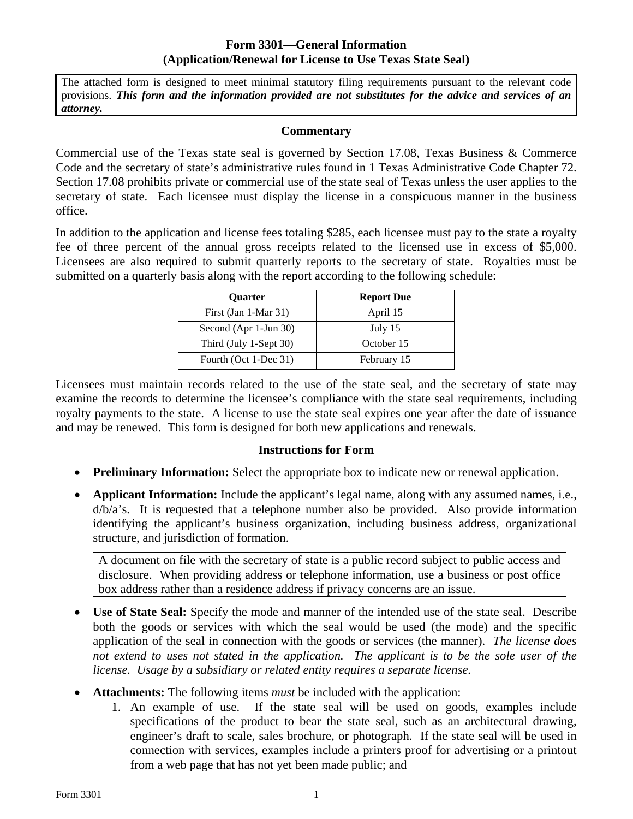## **Form 3301—General Information (Application/Renewal for License to Use Texas State Seal)**

The attached form is designed to meet minimal statutory filing requirements pursuant to the relevant code provisions. *This form and the information provided are not substitutes for the advice and services of an attorney.* 

## **Commentary**

Commercial use of the Texas state seal is governed by Section 17.08, Texas Business & Commerce Code and the secretary of state's administrative rules found in 1 Texas Administrative Code Chapter 72. Section 17.08 prohibits private or commercial use of the state seal of Texas unless the user applies to the secretary of state. Each licensee must display the license in a conspicuous manner in the business office.

In addition to the application and license fees totaling \$285, each licensee must pay to the state a royalty fee of three percent of the annual gross receipts related to the licensed use in excess of \$5,000. Licensees are also required to submit quarterly reports to the secretary of state. Royalties must be submitted on a quarterly basis along with the report according to the following schedule:

| <b>Ouarter</b>         | <b>Report Due</b> |  |
|------------------------|-------------------|--|
| First (Jan 1-Mar 31)   | April 15          |  |
| Second (Apr 1-Jun 30)  | July 15           |  |
| Third (July 1-Sept 30) | October 15        |  |
| Fourth (Oct 1-Dec 31)  | February 15       |  |

Licensees must maintain records related to the use of the state seal, and the secretary of state may examine the records to determine the licensee's compliance with the state seal requirements, including royalty payments to the state. A license to use the state seal expires one year after the date of issuance and may be renewed. This form is designed for both new applications and renewals.

## **Instructions for Form**

- **Preliminary Information:** Select the appropriate box to indicate new or renewal application.
- **Applicant Information:** Include the applicant's legal name, along with any assumed names, i.e., d/b/a's. It is requested that a telephone number also be provided. Also provide information identifying the applicant's business organization, including business address, organizational structure, and jurisdiction of formation.

A document on file with the secretary of state is a public record subject to public access and disclosure. When providing address or telephone information, use a business or post office box address rather than a residence address if privacy concerns are an issue.

- application of the seal in connection with the goods or services (the manner). *The license does*  **Use of State Seal:** Specify the mode and manner of the intended use of the state seal. Describe both the goods or services with which the seal would be used (the mode) and the specific not extend to uses not stated in the application. The applicant is to be the sole user of the *license. Usage by a subsidiary or related entity requires a separate license.*
- **Attachments:** The following items *must* be included with the application:
	- 1. An example of use. If the state seal will be used on goods, examples include specifications of the product to bear the state seal, such as an architectural drawing, engineer's draft to scale, sales brochure, or photograph. If the state seal will be used in connection with services, examples include a printers proof for advertising or a printout from a web page that has not yet been made public; and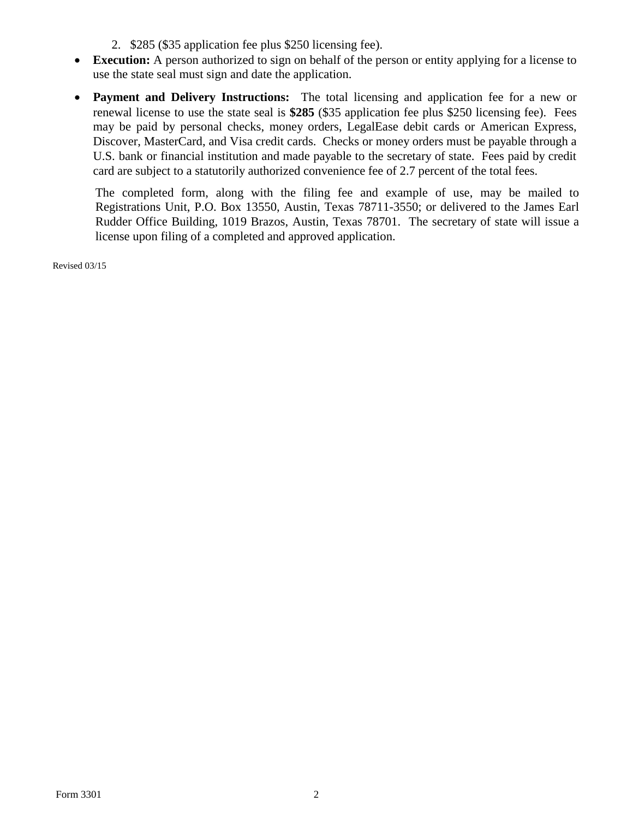- 2. \$285 (\$35 application fee plus \$250 licensing fee).
- **Execution:** A person authorized to sign on behalf of the person or entity applying for a license to use the state seal must sign and date the application.
- **Payment and Delivery Instructions:** The total licensing and application fee for a new or renewal license to use the state seal is **\$285** (\$35 application fee plus \$250 licensing fee). Fees may be paid by personal checks, money orders, LegalEase debit cards or American Express, Discover, MasterCard, and Visa credit cards. Checks or money orders must be payable through a U.S. bank or financial institution and made payable to the secretary of state. Fees paid by credit card are subject to a statutorily authorized convenience fee of 2.7 percent of the total fees.

The completed form, along with the filing fee and example of use, may be mailed to Registrations Unit, P.O. Box 13550, Austin, Texas 78711-3550; or delivered to the James Earl Rudder Office Building, 1019 Brazos, Austin, Texas 78701. The secretary of state will issue a license upon filing of a completed and approved application.

Revised 03/15